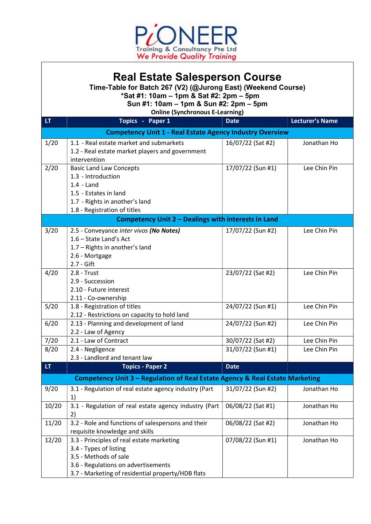

## Real Estate Salesperson Course

Time-Table for Batch 267 (V2) (@Jurong East) (Weekend Course)

\*Sat #1: 10am – 1pm & Sat #2: 2pm – 5pm

Sun #1: 10am – 1pm & Sun #2: 2pm – 5pm

Online (Synchronous E-Learning)

| LT.                                                                          | Topics - Paper 1                                                                                                                                                                         | <b>Date</b>       | <b>Lecturer's Name</b> |  |  |
|------------------------------------------------------------------------------|------------------------------------------------------------------------------------------------------------------------------------------------------------------------------------------|-------------------|------------------------|--|--|
| <b>Competency Unit 1 - Real Estate Agency Industry Overview</b>              |                                                                                                                                                                                          |                   |                        |  |  |
| 1/20                                                                         | 1.1 - Real estate market and submarkets<br>1.2 - Real estate market players and government<br>intervention                                                                               | 16/07/22 (Sat #2) | Jonathan Ho            |  |  |
| 2/20                                                                         | <b>Basic Land Law Concepts</b><br>1.3 - Introduction<br>$1.4 -$ Land<br>1.5 - Estates in land<br>1.7 - Rights in another's land<br>1.8 - Registration of titles                          | 17/07/22 (Sun #1) | Lee Chin Pin           |  |  |
| Competency Unit 2 - Dealings with interests in Land                          |                                                                                                                                                                                          |                   |                        |  |  |
| 3/20                                                                         | 2.5 - Conveyance inter vivos (No Notes)<br>1.6 - State Land's Act<br>1.7 - Rights in another's land<br>2.6 - Mortgage<br>2.7 - Gift                                                      | 17/07/22 (Sun #2) | Lee Chin Pin           |  |  |
| 4/20                                                                         | $2.8 - Trust$<br>2.9 - Succession<br>2.10 - Future interest<br>2.11 - Co-ownership                                                                                                       | 23/07/22 (Sat #2) | Lee Chin Pin           |  |  |
| 5/20                                                                         | 1.8 - Registration of titles<br>2.12 - Restrictions on capacity to hold land                                                                                                             | 24/07/22 (Sun #1) | Lee Chin Pin           |  |  |
| 6/20                                                                         | 2.13 - Planning and development of land<br>2.2 - Law of Agency                                                                                                                           | 24/07/22 (Sun #2) | Lee Chin Pin           |  |  |
| 7/20                                                                         | 2.1 - Law of Contract                                                                                                                                                                    | 30/07/22 (Sat #2) | Lee Chin Pin           |  |  |
| 8/20                                                                         | 2.4 - Negligence<br>2.3 - Landlord and tenant law                                                                                                                                        | 31/07/22 (Sun #1) | Lee Chin Pin           |  |  |
| LT.                                                                          | <b>Topics - Paper 2</b>                                                                                                                                                                  | <b>Date</b>       |                        |  |  |
| Competency Unit 3 - Regulation of Real Estate Agency & Real Estate Marketing |                                                                                                                                                                                          |                   |                        |  |  |
| 9/20                                                                         | 3.1 - Regulation of real estate agency industry (Part<br>1)                                                                                                                              | 31/07/22 (Sun #2) | Jonathan Ho            |  |  |
| 10/20                                                                        | 3.1 - Regulation of real estate agency industry (Part<br>2)                                                                                                                              | 06/08/22 (Sat #1) | Jonathan Ho            |  |  |
| 11/20                                                                        | 3.2 - Role and functions of salespersons and their<br>requisite knowledge and skills                                                                                                     | 06/08/22 (Sat #2) | Jonathan Ho            |  |  |
| 12/20                                                                        | 3.3 - Principles of real estate marketing<br>3.4 - Types of listing<br>3.5 - Methods of sale<br>3.6 - Regulations on advertisements<br>3.7 - Marketing of residential property/HDB flats | 07/08/22 (Sun #1) | Jonathan Ho            |  |  |